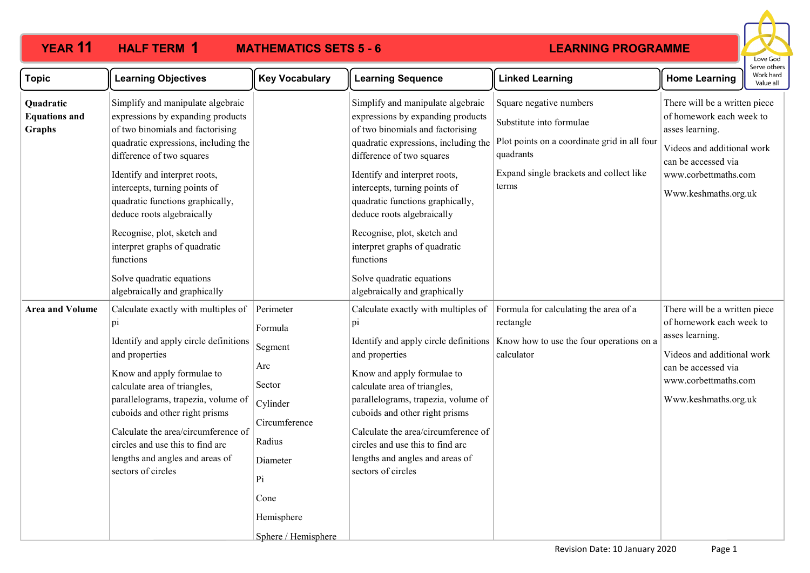**HALF TERM 1** 

# **LEARNING PROGRAMME**



| <b>Learning Objectives</b>                                                                                                                                                                                                                                                                                                                                                         | <b>Key Vocabulary</b>                                                                        | <b>Learning Sequence</b>                                                                                                                                                                                                                                                                                                                                                        | <b>Linked Learning</b>                                                                                           | <b>Home Learning</b>                                                                                                                                           | Serve others<br>Work hard<br>Value all                     |
|------------------------------------------------------------------------------------------------------------------------------------------------------------------------------------------------------------------------------------------------------------------------------------------------------------------------------------------------------------------------------------|----------------------------------------------------------------------------------------------|---------------------------------------------------------------------------------------------------------------------------------------------------------------------------------------------------------------------------------------------------------------------------------------------------------------------------------------------------------------------------------|------------------------------------------------------------------------------------------------------------------|----------------------------------------------------------------------------------------------------------------------------------------------------------------|------------------------------------------------------------|
| Simplify and manipulate algebraic<br>expressions by expanding products<br>of two binomials and factorising<br>quadratic expressions, including the<br>difference of two squares                                                                                                                                                                                                    |                                                                                              | Simplify and manipulate algebraic<br>expressions by expanding products<br>of two binomials and factorising<br>quadratic expressions, including the<br>difference of two squares                                                                                                                                                                                                 | Square negative numbers<br>Substitute into formulae<br>Plot points on a coordinate grid in all four<br>quadrants | There will be a written piece<br>of homework each week to<br>Videos and additional work<br>can be accessed via                                                 |                                                            |
| intercepts, turning points of<br>quadratic functions graphically,<br>deduce roots algebraically                                                                                                                                                                                                                                                                                    |                                                                                              | intercepts, turning points of<br>quadratic functions graphically,<br>deduce roots algebraically                                                                                                                                                                                                                                                                                 | terms                                                                                                            | Www.keshmaths.org.uk                                                                                                                                           |                                                            |
| Recognise, plot, sketch and<br>interpret graphs of quadratic<br>functions                                                                                                                                                                                                                                                                                                          |                                                                                              | Recognise, plot, sketch and<br>interpret graphs of quadratic<br>functions                                                                                                                                                                                                                                                                                                       |                                                                                                                  |                                                                                                                                                                |                                                            |
| Solve quadratic equations<br>algebraically and graphically                                                                                                                                                                                                                                                                                                                         |                                                                                              | Solve quadratic equations<br>algebraically and graphically                                                                                                                                                                                                                                                                                                                      |                                                                                                                  |                                                                                                                                                                |                                                            |
| Calculate exactly with multiples of<br>$p_1$<br>Identify and apply circle definitions<br>and properties<br>Know and apply formulae to<br>calculate area of triangles,<br>parallelograms, trapezia, volume of<br>cuboids and other right prisms<br>Calculate the area/circumference of<br>circles and use this to find arc<br>lengths and angles and areas of<br>sectors of circles | Formula<br>Segment<br>Arc<br>Circumference<br>Radius<br>Diameter<br>Pi<br>Cone<br>Hemisphere | Calculate exactly with multiples of<br>pi<br>Identify and apply circle definitions<br>and properties<br>Know and apply formulae to<br>calculate area of triangles,<br>parallelograms, trapezia, volume of<br>cuboids and other right prisms<br>Calculate the area/circumference of<br>circles and use this to find arc<br>lengths and angles and areas of<br>sectors of circles | Formula for calculating the area of a<br>rectangle<br>Know how to use the four operations on a<br>calculator     | There will be a written piece<br>of homework each week to<br>Videos and additional work<br>can be accessed via<br>www.corbettmaths.com<br>Www.keshmaths.org.uk |                                                            |
|                                                                                                                                                                                                                                                                                                                                                                                    | Identify and interpret roots,                                                                | Perimeter<br>Sector<br>Cylinder<br>Sphere / Hemisphere                                                                                                                                                                                                                                                                                                                          | Identify and interpret roots,                                                                                    | Expand single brackets and collect like                                                                                                                        | asses learning.<br>www.corbettmaths.com<br>asses learning. |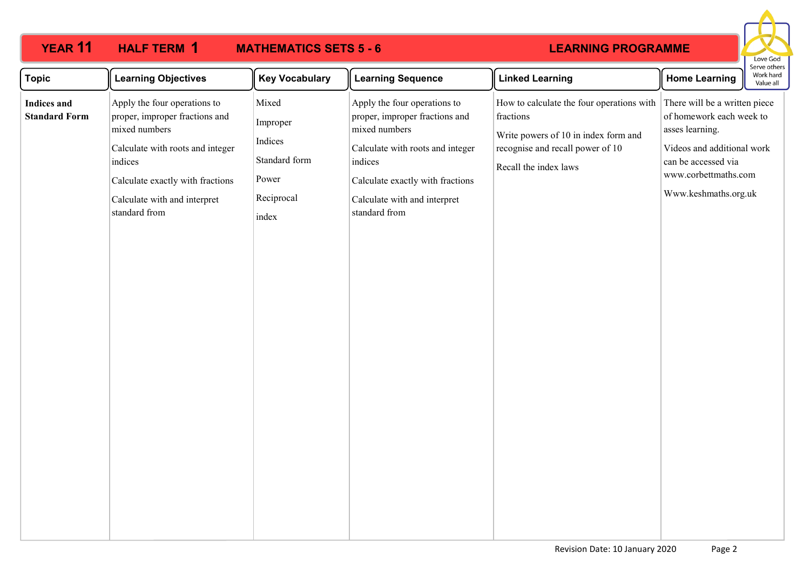### **YEAR 11 HALF TERM MATHEMATICS SETS 5 - 6 HAIFTERM 1 LEARNING PROGRAMME** Love God Serve others **Topic Learning Objectives Key Vocabulary Learning Sequence Linked Learning Home Learning** Work hard Value all Apply the four operations to How to calculate the four operations with There will be a written piece Mixed Apply the four operations to **Indices and Standard Form** proper, improper fractions and proper, improper fractions and fractions of homework each week to Improper mixed numbers mixed numbers asses learning. Write powers of 10 in index form and Indices Videos and additional work Calculate with roots and integer Calculate with roots and integer recognise and recall power of 10 Standard form indices indices can be accessed via Recall the index laws www.corbettmaths.com Power Calculate exactly with fractions Calculate exactly with fractions Www.keshmaths.org.uk Reciprocal Calculate with and interpret Calculate with and interpret standard from standard from index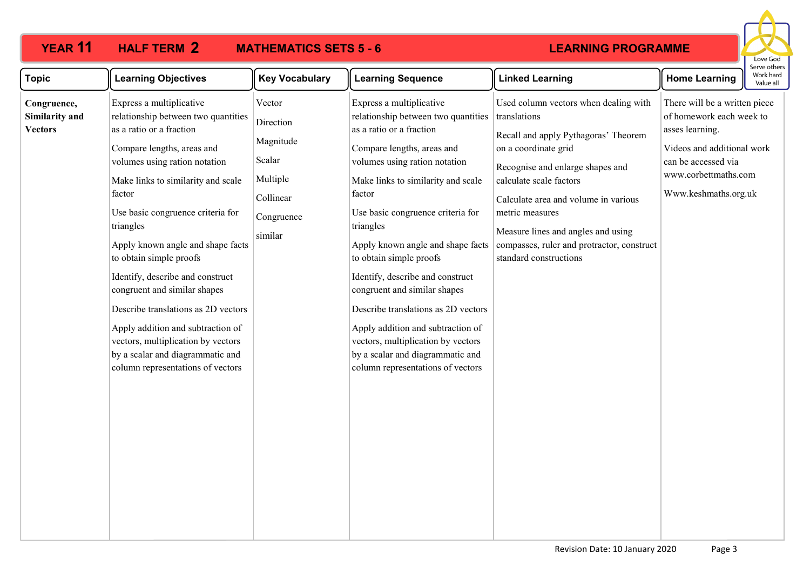### **YEAR 11 HALF TERM MATHEMATICS SETS 5 - 6 HALF TERM 2**

## **LEARNING PROGRAMME**



| <b>Topic</b>                                    | <b>Learning Objectives</b>                                                                                                                                                                                                                                                                                                                                                                                                                                                                                                                                                                  | <b>Key Vocabulary</b>                                                                        | <b>Learning Sequence</b>                                                                                                                                                                                                                                                                                                                                                                                                                                                                                                                                                                    | <b>Linked Learning</b>                                                                                                                                                                                                                                                                                                                                        | <b>Home Learning</b>                                                                                                                                                              | יכו עכ טנווכו.<br>Work hard<br>Value all |
|-------------------------------------------------|---------------------------------------------------------------------------------------------------------------------------------------------------------------------------------------------------------------------------------------------------------------------------------------------------------------------------------------------------------------------------------------------------------------------------------------------------------------------------------------------------------------------------------------------------------------------------------------------|----------------------------------------------------------------------------------------------|---------------------------------------------------------------------------------------------------------------------------------------------------------------------------------------------------------------------------------------------------------------------------------------------------------------------------------------------------------------------------------------------------------------------------------------------------------------------------------------------------------------------------------------------------------------------------------------------|---------------------------------------------------------------------------------------------------------------------------------------------------------------------------------------------------------------------------------------------------------------------------------------------------------------------------------------------------------------|-----------------------------------------------------------------------------------------------------------------------------------------------------------------------------------|------------------------------------------|
| Congruence,<br>Similarity and<br><b>Vectors</b> | Express a multiplicative<br>relationship between two quantities<br>as a ratio or a fraction<br>Compare lengths, areas and<br>volumes using ration notation<br>Make links to similarity and scale<br>factor<br>Use basic congruence criteria for<br>triangles<br>Apply known angle and shape facts<br>to obtain simple proofs<br>Identify, describe and construct<br>congruent and similar shapes<br>Describe translations as 2D vectors<br>Apply addition and subtraction of<br>vectors, multiplication by vectors<br>by a scalar and diagrammatic and<br>column representations of vectors | Vector<br>Direction<br>Magnitude<br>Scalar<br>Multiple<br>Collinear<br>Congruence<br>similar | Express a multiplicative<br>relationship between two quantities<br>as a ratio or a fraction<br>Compare lengths, areas and<br>volumes using ration notation<br>Make links to similarity and scale<br>factor<br>Use basic congruence criteria for<br>triangles<br>Apply known angle and shape facts<br>to obtain simple proofs<br>Identify, describe and construct<br>congruent and similar shapes<br>Describe translations as 2D vectors<br>Apply addition and subtraction of<br>vectors, multiplication by vectors<br>by a scalar and diagrammatic and<br>column representations of vectors | Used column vectors when dealing with<br>translations<br>Recall and apply Pythagoras' Theorem<br>on a coordinate grid<br>Recognise and enlarge shapes and<br>calculate scale factors<br>Calculate area and volume in various<br>metric measures<br>Measure lines and angles and using<br>compasses, ruler and protractor, construct<br>standard constructions | There will be a written piece<br>of homework each week to<br>asses learning.<br>Videos and additional work<br>can be accessed via<br>www.corbettmaths.com<br>Www.keshmaths.org.uk |                                          |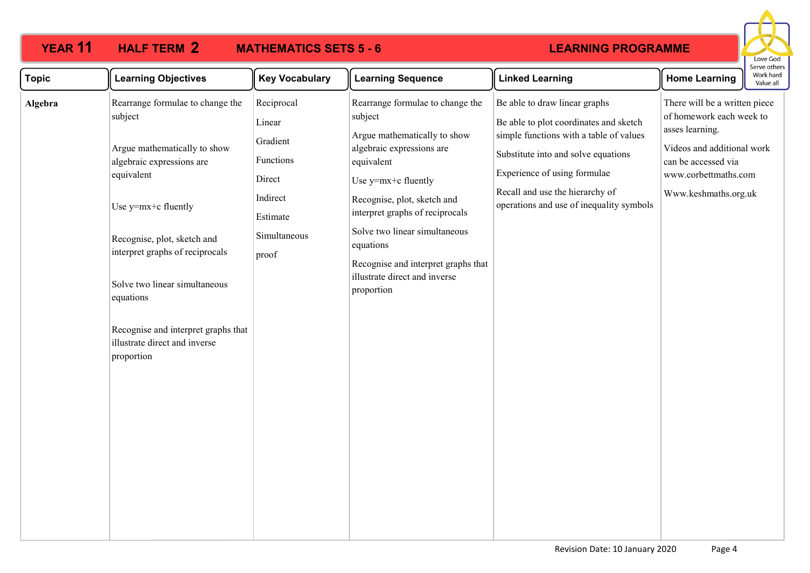### **YEAR 11 HALF TERM MATHEMATICS SETS 5 - 6 HALF TERM 2**

## **LEARNING PROGRAMME**



| <b>Learning Objectives</b>                                                                                                                                                                                                                                                                                                                          | <b>Key Vocabulary</b>                                                                                    | <b>Learning Sequence</b>                                                                                                                                                                                                                                                                                                                            | <b>Linked Learning</b>                                                                                                                                                                                                                                                   | <b>Home Learning</b>                                                                                                                                                              | Work hard<br>Value all |
|-----------------------------------------------------------------------------------------------------------------------------------------------------------------------------------------------------------------------------------------------------------------------------------------------------------------------------------------------------|----------------------------------------------------------------------------------------------------------|-----------------------------------------------------------------------------------------------------------------------------------------------------------------------------------------------------------------------------------------------------------------------------------------------------------------------------------------------------|--------------------------------------------------------------------------------------------------------------------------------------------------------------------------------------------------------------------------------------------------------------------------|-----------------------------------------------------------------------------------------------------------------------------------------------------------------------------------|------------------------|
| Rearrange formulae to change the<br>subject<br>Argue mathematically to show<br>algebraic expressions are<br>equivalent<br>Use y=mx+c fluently<br>Recognise, plot, sketch and<br>interpret graphs of reciprocals<br>Solve two linear simultaneous<br>equations<br>Recognise and interpret graphs that<br>illustrate direct and inverse<br>proportion | Reciprocal<br>Linear<br>Gradient<br>Functions<br>Direct<br>Indirect<br>Estimate<br>Simultaneous<br>proof | Rearrange formulae to change the<br>subject<br>Argue mathematically to show<br>algebraic expressions are<br>equivalent<br>Use y=mx+c fluently<br>Recognise, plot, sketch and<br>interpret graphs of reciprocals<br>Solve two linear simultaneous<br>equations<br>Recognise and interpret graphs that<br>illustrate direct and inverse<br>proportion | Be able to draw linear graphs<br>Be able to plot coordinates and sketch<br>simple functions with a table of values<br>Substitute into and solve equations<br>Experience of using formulae<br>Recall and use the hierarchy of<br>operations and use of inequality symbols | There will be a written piece<br>of homework each week to<br>asses learning.<br>Videos and additional work<br>can be accessed via<br>www.corbettmaths.com<br>Www.keshmaths.org.uk |                        |
|                                                                                                                                                                                                                                                                                                                                                     |                                                                                                          |                                                                                                                                                                                                                                                                                                                                                     |                                                                                                                                                                                                                                                                          |                                                                                                                                                                                   |                        |
|                                                                                                                                                                                                                                                                                                                                                     |                                                                                                          |                                                                                                                                                                                                                                                                                                                                                     |                                                                                                                                                                                                                                                                          |                                                                                                                                                                                   |                        |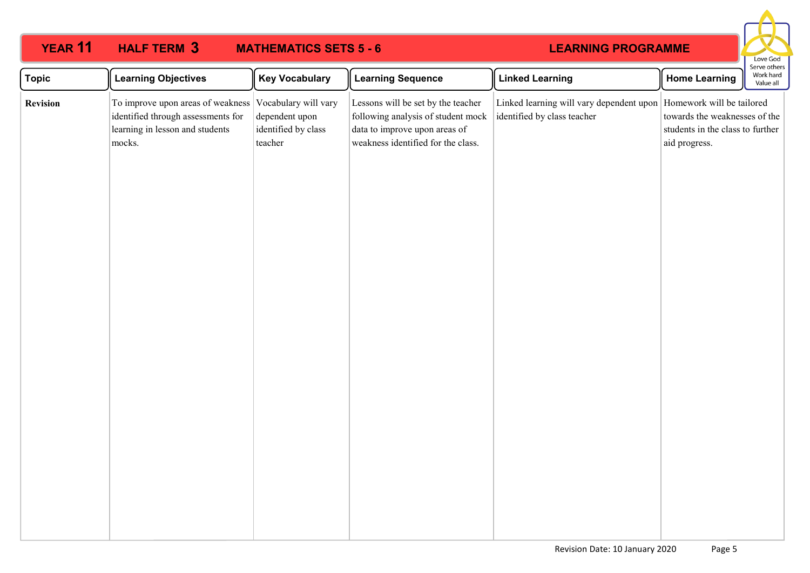| <b>YEAR 11</b>                  | <b>HALF TERM 3</b><br><b>MATHEMATICS SETS 5 - 6</b><br><b>LEARNING PROGRAMME</b>                                                          |                                                  |                                                                                                                                                 |                                                                         |                                                                                                                 | Love God                               |
|---------------------------------|-------------------------------------------------------------------------------------------------------------------------------------------|--------------------------------------------------|-------------------------------------------------------------------------------------------------------------------------------------------------|-------------------------------------------------------------------------|-----------------------------------------------------------------------------------------------------------------|----------------------------------------|
|                                 | <b>Learning Objectives</b>                                                                                                                | <b>Key Vocabulary</b>                            | <b>Learning Sequence</b>                                                                                                                        | <b>Linked Learning</b>                                                  | <b>Home Learning</b>                                                                                            | Serve others<br>Work hard<br>Value all |
| <b>Topic</b><br><b>Revision</b> | To improve upon areas of weakness Vocabulary will vary<br>identified through assessments for<br>learning in lesson and students<br>mocks. | dependent upon<br>identified by class<br>teacher | Lessons will be set by the teacher<br>following analysis of student mock<br>data to improve upon areas of<br>weakness identified for the class. | Linked learning will vary dependent upon<br>identified by class teacher | Homework will be tailored<br>towards the weaknesses of the<br>students in the class to further<br>aid progress. |                                        |
|                                 |                                                                                                                                           |                                                  |                                                                                                                                                 |                                                                         |                                                                                                                 |                                        |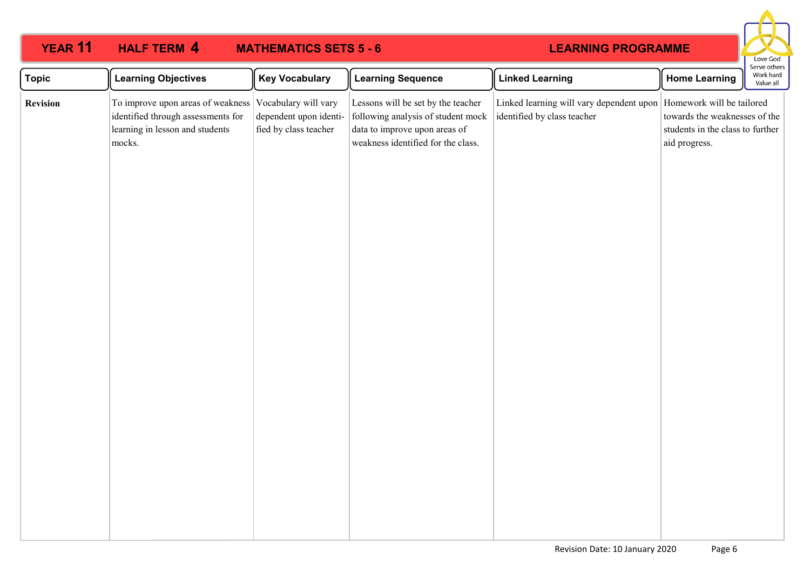| <b>YEAR 11</b>  | <b>HALF TERM 4</b>                                                                                                   | <b>MATHEMATICS SETS 5 - 6</b>                                           |                                                                                                                                                 | <b>LEARNING PROGRAMME</b>                                                                           |                                                                                    | Love God                               |
|-----------------|----------------------------------------------------------------------------------------------------------------------|-------------------------------------------------------------------------|-------------------------------------------------------------------------------------------------------------------------------------------------|-----------------------------------------------------------------------------------------------------|------------------------------------------------------------------------------------|----------------------------------------|
| <b>Topic</b>    | <b>Learning Objectives</b>                                                                                           | <b>Key Vocabulary</b>                                                   | <b>Learning Sequence</b>                                                                                                                        | <b>Linked Learning</b>                                                                              | <b>Home Learning</b>                                                               | Serve others<br>Work hard<br>Value all |
| <b>Revision</b> | To improve upon areas of weakness<br>identified through assessments for<br>learning in lesson and students<br>mocks. | Vocabulary will vary<br>dependent upon identi-<br>fied by class teacher | Lessons will be set by the teacher<br>following analysis of student mock<br>data to improve upon areas of<br>weakness identified for the class. | Linked learning will vary dependent upon   Homework will be tailored<br>identified by class teacher | towards the weaknesses of the<br>students in the class to further<br>aid progress. |                                        |
|                 |                                                                                                                      |                                                                         |                                                                                                                                                 |                                                                                                     |                                                                                    |                                        |
|                 |                                                                                                                      |                                                                         |                                                                                                                                                 |                                                                                                     |                                                                                    |                                        |
|                 |                                                                                                                      |                                                                         |                                                                                                                                                 |                                                                                                     |                                                                                    |                                        |
|                 |                                                                                                                      |                                                                         |                                                                                                                                                 |                                                                                                     |                                                                                    |                                        |